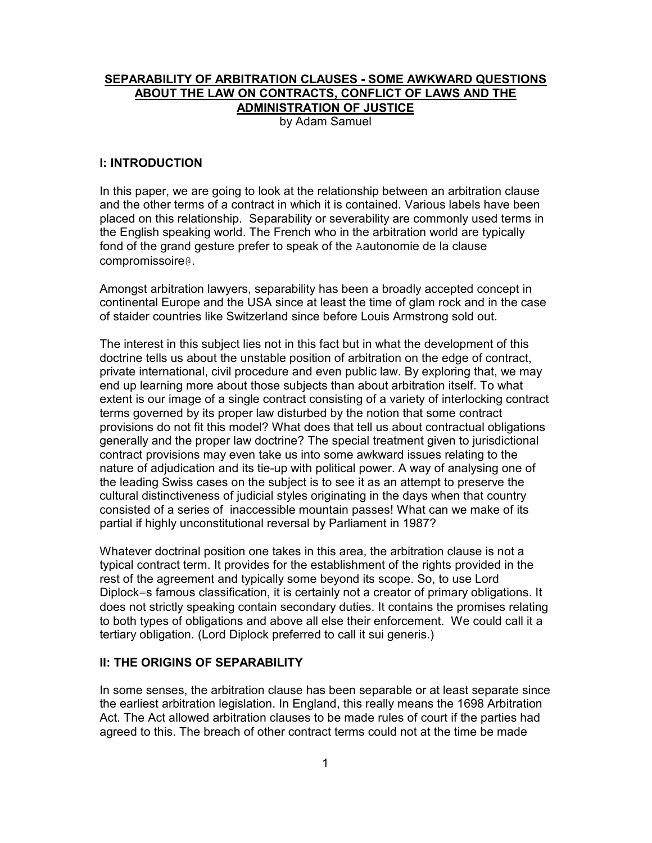# **SEPARABILITY OF ARBITRATION CLAUSES - SOME AWKWARD QUESTIONS ABOUT THE LAW ON CONTRACTS, CONFLICT OF LAWS AND THE ADMINISTRATION OF JUSTICE**

by Adam Samuel

#### **I: INTRODUCTION**

In this paper, we are going to look at the relationship between an arbitration clause and the other terms of a contract in which it is contained. Various labels have been placed on this relationship. Separability or severability are commonly used terms in the English speaking world. The French who in the arbitration world are typically fond of the grand gesture prefer to speak of the Aautonomie de la clause compromissoire@.

Amongst arbitration lawyers, separability has been a broadly accepted concept in continental Europe and the USA since at least the time of glam rock and in the case of staider countries like Switzerland since before Louis Armstrong sold out.

The interest in this subject lies not in this fact but in what the development of this doctrine tells us about the unstable position of arbitration on the edge of contract, private international, civil procedure and even public law. By exploring that, we may end up learning more about those subjects than about arbitration itself. To what extent is our image of a single contract consisting of a variety of interlocking contract terms governed by its proper law disturbed by the notion that some contract provisions do not fit this model? What does that tell us about contractual obligations generally and the proper law doctrine? The special treatment given to jurisdictional contract provisions may even take us into some awkward issues relating to the nature of adjudication and its tie-up with political power. A way of analysing one of the leading Swiss cases on the subject is to see it as an attempt to preserve the cultural distinctiveness of judicial styles originating in the days when that country consisted of a series of inaccessible mountain passes! What can we make of its partial if highly unconstitutional reversal by Parliament in 1987?

Whatever doctrinal position one takes in this area, the arbitration clause is not a typical contract term. It provides for the establishment of the rights provided in the rest of the agreement and typically some beyond its scope. So, to use Lord Diplock=s famous classification, it is certainly not a creator of primary obligations. It does not strictly speaking contain secondary duties. It contains the promises relating to both types of obligations and above all else their enforcement. We could call it a tertiary obligation. (Lord Diplock preferred to call it sui generis.)

# **II: THE ORIGINS OF SEPARABILITY**

In some senses, the arbitration clause has been separable or at least separate since the earliest arbitration legislation. In England, this really means the 1698 Arbitration Act. The Act allowed arbitration clauses to be made rules of court if the parties had agreed to this. The breach of other contract terms could not at the time be made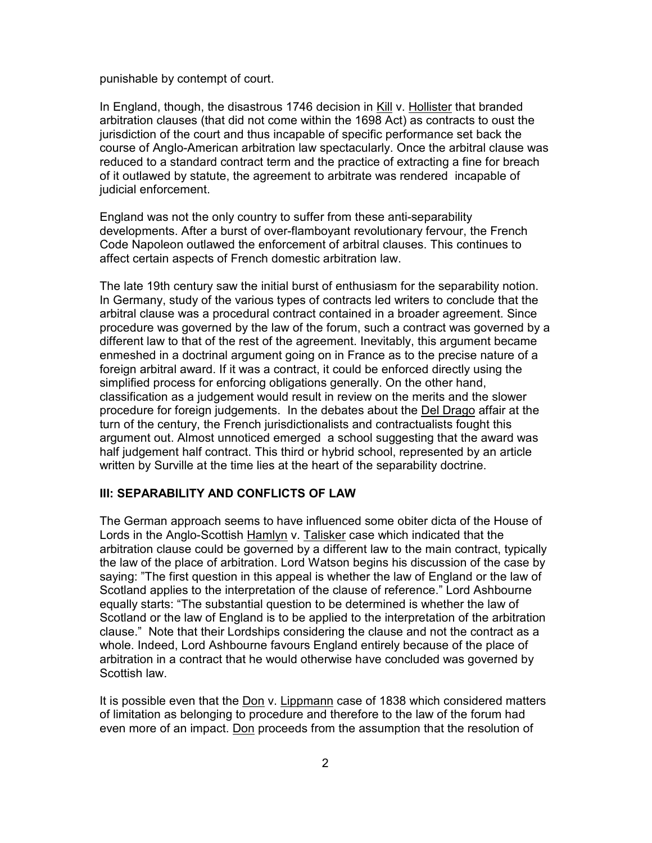punishable by contempt of court.

In England, though, the disastrous 1746 decision in Kill v. Hollister that branded arbitration clauses (that did not come within the 1698 Act) as contracts to oust the jurisdiction of the court and thus incapable of specific performance set back the course of Anglo-American arbitration law spectacularly. Once the arbitral clause was reduced to a standard contract term and the practice of extracting a fine for breach of it outlawed by statute, the agreement to arbitrate was rendered incapable of judicial enforcement.

England was not the only country to suffer from these anti-separability developments. After a burst of over-flamboyant revolutionary fervour, the French Code Napoleon outlawed the enforcement of arbitral clauses. This continues to affect certain aspects of French domestic arbitration law.

The late 19th century saw the initial burst of enthusiasm for the separability notion. In Germany, study of the various types of contracts led writers to conclude that the arbitral clause was a procedural contract contained in a broader agreement. Since procedure was governed by the law of the forum, such a contract was governed by a different law to that of the rest of the agreement. Inevitably, this argument became enmeshed in a doctrinal argument going on in France as to the precise nature of a foreign arbitral award. If it was a contract, it could be enforced directly using the simplified process for enforcing obligations generally. On the other hand, classification as a judgement would result in review on the merits and the slower procedure for foreign judgements. In the debates about the Del Drago affair at the turn of the century, the French jurisdictionalists and contractualists fought this argument out. Almost unnoticed emerged a school suggesting that the award was half judgement half contract. This third or hybrid school, represented by an article written by Surville at the time lies at the heart of the separability doctrine.

#### **III: SEPARABILITY AND CONFLICTS OF LAW**

The German approach seems to have influenced some obiter dicta of the House of Lords in the Anglo-Scottish Hamlyn v. Talisker case which indicated that the arbitration clause could be governed by a different law to the main contract, typically the law of the place of arbitration. Lord Watson begins his discussion of the case by saying: "The first question in this appeal is whether the law of England or the law of Scotland applies to the interpretation of the clause of reference." Lord Ashbourne equally starts: "The substantial question to be determined is whether the law of Scotland or the law of England is to be applied to the interpretation of the arbitration clause." Note that their Lordships considering the clause and not the contract as a whole. Indeed, Lord Ashbourne favours England entirely because of the place of arbitration in a contract that he would otherwise have concluded was governed by Scottish law.

It is possible even that the **Don v. Lippmann** case of 1838 which considered matters of limitation as belonging to procedure and therefore to the law of the forum had even more of an impact. Don proceeds from the assumption that the resolution of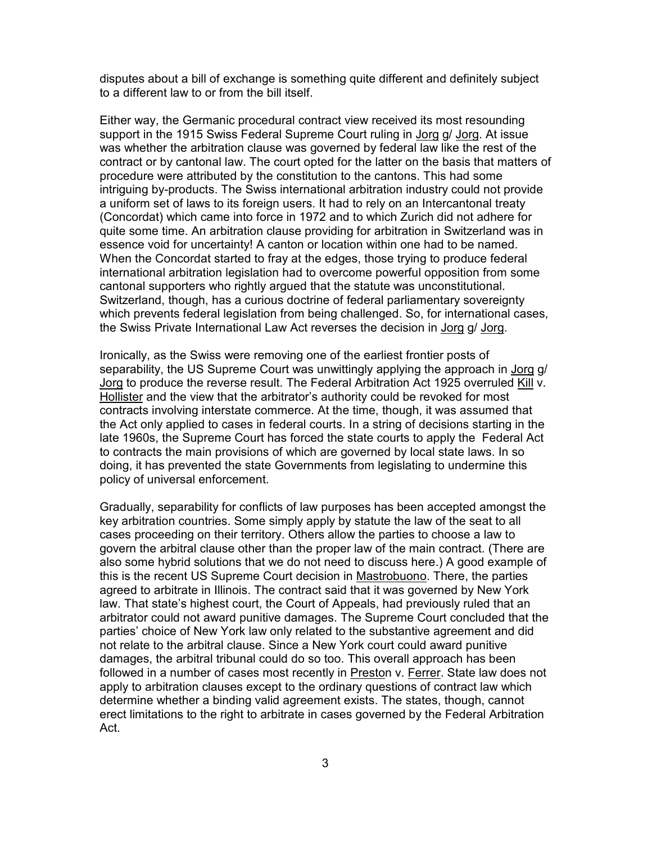disputes about a bill of exchange is something quite different and definitely subject to a different law to or from the bill itself.

Either way, the Germanic procedural contract view received its most resounding support in the 1915 Swiss Federal Supreme Court ruling in Jorg g/ Jorg. At issue was whether the arbitration clause was governed by federal law like the rest of the contract or by cantonal law. The court opted for the latter on the basis that matters of procedure were attributed by the constitution to the cantons. This had some intriguing by-products. The Swiss international arbitration industry could not provide a uniform set of laws to its foreign users. It had to rely on an Intercantonal treaty (Concordat) which came into force in 1972 and to which Zurich did not adhere for quite some time. An arbitration clause providing for arbitration in Switzerland was in essence void for uncertainty! A canton or location within one had to be named. When the Concordat started to fray at the edges, those trying to produce federal international arbitration legislation had to overcome powerful opposition from some cantonal supporters who rightly argued that the statute was unconstitutional. Switzerland, though, has a curious doctrine of federal parliamentary sovereignty which prevents federal legislation from being challenged. So, for international cases, the Swiss Private International Law Act reverses the decision in Jorg g/ Jorg.

Ironically, as the Swiss were removing one of the earliest frontier posts of separability, the US Supreme Court was unwittingly applying the approach in Jorg g/ Jorg to produce the reverse result. The Federal Arbitration Act 1925 overruled Kill v. Hollister and the view that the arbitrator's authority could be revoked for most contracts involving interstate commerce. At the time, though, it was assumed that the Act only applied to cases in federal courts. In a string of decisions starting in the late 1960s, the Supreme Court has forced the state courts to apply the Federal Act to contracts the main provisions of which are governed by local state laws. In so doing, it has prevented the state Governments from legislating to undermine this policy of universal enforcement.

Gradually, separability for conflicts of law purposes has been accepted amongst the key arbitration countries. Some simply apply by statute the law of the seat to all cases proceeding on their territory. Others allow the parties to choose a law to govern the arbitral clause other than the proper law of the main contract. (There are also some hybrid solutions that we do not need to discuss here.) A good example of this is the recent US Supreme Court decision in Mastrobuono. There, the parties agreed to arbitrate in Illinois. The contract said that it was governed by New York law. That state's highest court, the Court of Appeals, had previously ruled that an arbitrator could not award punitive damages. The Supreme Court concluded that the parties' choice of New York law only related to the substantive agreement and did not relate to the arbitral clause. Since a New York court could award punitive damages, the arbitral tribunal could do so too. This overall approach has been followed in a number of cases most recently in Preston v. Ferrer. State law does not apply to arbitration clauses except to the ordinary questions of contract law which determine whether a binding valid agreement exists. The states, though, cannot erect limitations to the right to arbitrate in cases governed by the Federal Arbitration Act.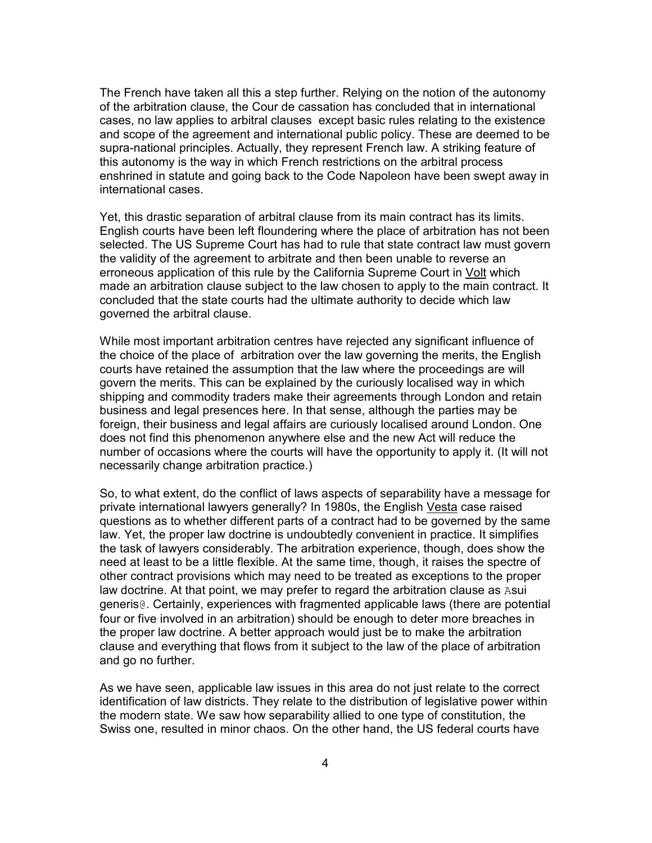The French have taken all this a step further. Relying on the notion of the autonomy of the arbitration clause, the Cour de cassation has concluded that in international cases, no law applies to arbitral clauses except basic rules relating to the existence and scope of the agreement and international public policy. These are deemed to be supra-national principles. Actually, they represent French law. A striking feature of this autonomy is the way in which French restrictions on the arbitral process enshrined in statute and going back to the Code Napoleon have been swept away in international cases.

Yet, this drastic separation of arbitral clause from its main contract has its limits. English courts have been left floundering where the place of arbitration has not been selected. The US Supreme Court has had to rule that state contract law must govern the validity of the agreement to arbitrate and then been unable to reverse an erroneous application of this rule by the California Supreme Court in Volt which made an arbitration clause subject to the law chosen to apply to the main contract. It concluded that the state courts had the ultimate authority to decide which law governed the arbitral clause.

While most important arbitration centres have rejected any significant influence of the choice of the place of arbitration over the law governing the merits, the English courts have retained the assumption that the law where the proceedings are will govern the merits. This can be explained by the curiously localised way in which shipping and commodity traders make their agreements through London and retain business and legal presences here. In that sense, although the parties may be foreign, their business and legal affairs are curiously localised around London. One does not find this phenomenon anywhere else and the new Act will reduce the number of occasions where the courts will have the opportunity to apply it. (It will not necessarily change arbitration practice.)

So, to what extent, do the conflict of laws aspects of separability have a message for private international lawyers generally? In 1980s, the English Vesta case raised questions as to whether different parts of a contract had to be governed by the same law. Yet, the proper law doctrine is undoubtedly convenient in practice. It simplifies the task of lawyers considerably. The arbitration experience, though, does show the need at least to be a little flexible. At the same time, though, it raises the spectre of other contract provisions which may need to be treated as exceptions to the proper law doctrine. At that point, we may prefer to regard the arbitration clause as Asui generis@. Certainly, experiences with fragmented applicable laws (there are potential four or five involved in an arbitration) should be enough to deter more breaches in the proper law doctrine. A better approach would just be to make the arbitration clause and everything that flows from it subject to the law of the place of arbitration and go no further.

As we have seen, applicable law issues in this area do not just relate to the correct identification of law districts. They relate to the distribution of legislative power within the modern state. We saw how separability allied to one type of constitution, the Swiss one, resulted in minor chaos. On the other hand, the US federal courts have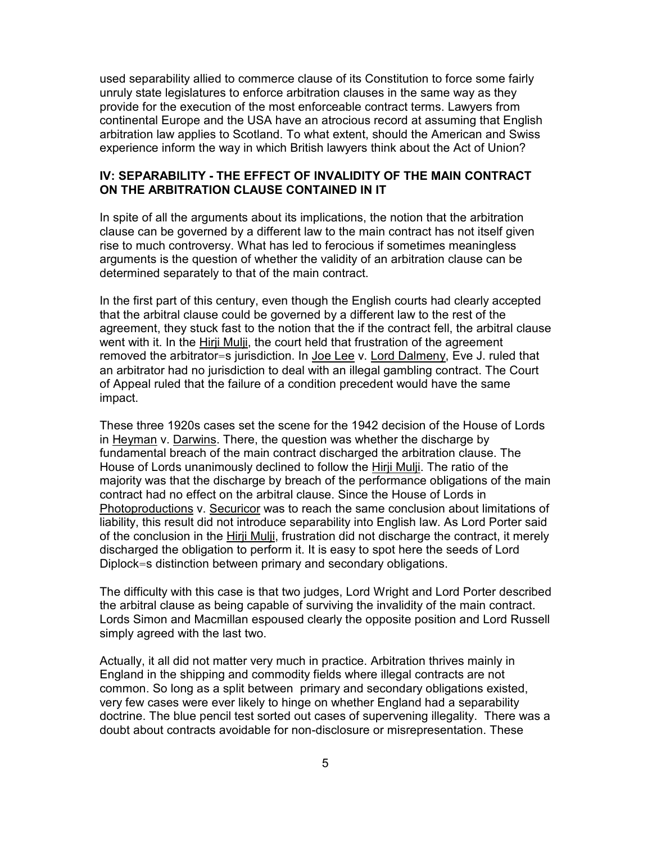used separability allied to commerce clause of its Constitution to force some fairly unruly state legislatures to enforce arbitration clauses in the same way as they provide for the execution of the most enforceable contract terms. Lawyers from continental Europe and the USA have an atrocious record at assuming that English arbitration law applies to Scotland. To what extent, should the American and Swiss experience inform the way in which British lawyers think about the Act of Union?

# **IV: SEPARABILITY - THE EFFECT OF INVALIDITY OF THE MAIN CONTRACT ON THE ARBITRATION CLAUSE CONTAINED IN IT**

In spite of all the arguments about its implications, the notion that the arbitration clause can be governed by a different law to the main contract has not itself given rise to much controversy. What has led to ferocious if sometimes meaningless arguments is the question of whether the validity of an arbitration clause can be determined separately to that of the main contract.

In the first part of this century, even though the English courts had clearly accepted that the arbitral clause could be governed by a different law to the rest of the agreement, they stuck fast to the notion that the if the contract fell, the arbitral clause went with it. In the Hirji Mulji, the court held that frustration of the agreement removed the arbitrator=s jurisdiction. In Joe Lee v. Lord Dalmeny, Eve J. ruled that an arbitrator had no jurisdiction to deal with an illegal gambling contract. The Court of Appeal ruled that the failure of a condition precedent would have the same impact.

These three 1920s cases set the scene for the 1942 decision of the House of Lords in Heyman v. Darwins. There, the question was whether the discharge by fundamental breach of the main contract discharged the arbitration clause. The House of Lords unanimously declined to follow the Hirji Mulji. The ratio of the majority was that the discharge by breach of the performance obligations of the main contract had no effect on the arbitral clause. Since the House of Lords in Photoproductions v. Securicor was to reach the same conclusion about limitations of liability, this result did not introduce separability into English law. As Lord Porter said of the conclusion in the Hirji Mulji, frustration did not discharge the contract, it merely discharged the obligation to perform it. It is easy to spot here the seeds of Lord Diplock=s distinction between primary and secondary obligations.

The difficulty with this case is that two judges, Lord Wright and Lord Porter described the arbitral clause as being capable of surviving the invalidity of the main contract. Lords Simon and Macmillan espoused clearly the opposite position and Lord Russell simply agreed with the last two.

Actually, it all did not matter very much in practice. Arbitration thrives mainly in England in the shipping and commodity fields where illegal contracts are not common. So long as a split between primary and secondary obligations existed, very few cases were ever likely to hinge on whether England had a separability doctrine. The blue pencil test sorted out cases of supervening illegality. There was a doubt about contracts avoidable for non-disclosure or misrepresentation. These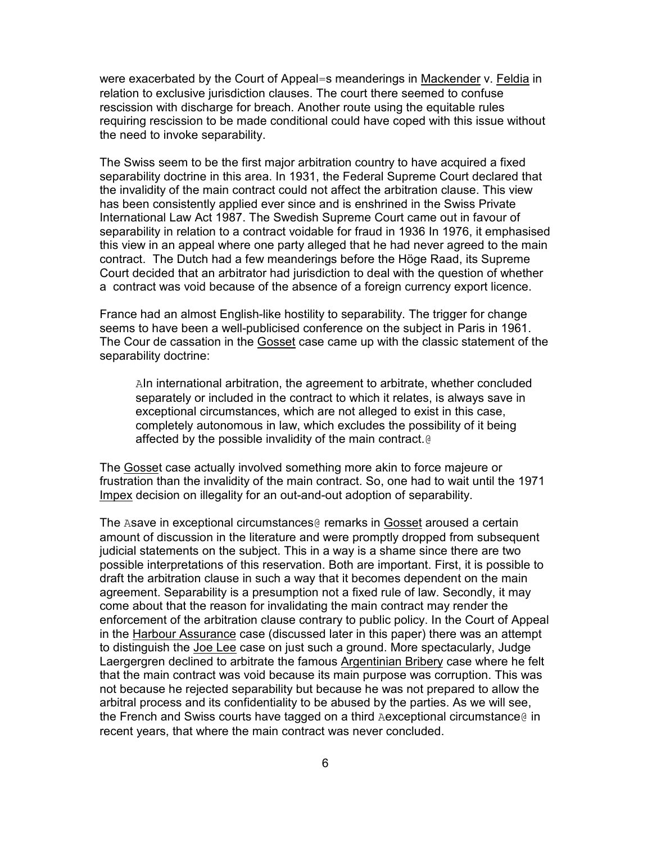were exacerbated by the Court of Appeal=s meanderings in Mackender v. Feldia in relation to exclusive jurisdiction clauses. The court there seemed to confuse rescission with discharge for breach. Another route using the equitable rules requiring rescission to be made conditional could have coped with this issue without the need to invoke separability.

The Swiss seem to be the first major arbitration country to have acquired a fixed separability doctrine in this area. In 1931, the Federal Supreme Court declared that the invalidity of the main contract could not affect the arbitration clause. This view has been consistently applied ever since and is enshrined in the Swiss Private International Law Act 1987. The Swedish Supreme Court came out in favour of separability in relation to a contract voidable for fraud in 1936 In 1976, it emphasised this view in an appeal where one party alleged that he had never agreed to the main contract. The Dutch had a few meanderings before the Höge Raad, its Supreme Court decided that an arbitrator had jurisdiction to deal with the question of whether a contract was void because of the absence of a foreign currency export licence.

France had an almost English-like hostility to separability. The trigger for change seems to have been a well-publicised conference on the subject in Paris in 1961. The Cour de cassation in the Gosset case came up with the classic statement of the separability doctrine:

AIn international arbitration, the agreement to arbitrate, whether concluded separately or included in the contract to which it relates, is always save in exceptional circumstances, which are not alleged to exist in this case, completely autonomous in law, which excludes the possibility of it being affected by the possible invalidity of the main contract.@

The Gosset case actually involved something more akin to force majeure or frustration than the invalidity of the main contract. So, one had to wait until the 1971 Impex decision on illegality for an out-and-out adoption of separability.

The Asave in exceptional circumstances@ remarks in Gosset aroused a certain amount of discussion in the literature and were promptly dropped from subsequent judicial statements on the subject. This in a way is a shame since there are two possible interpretations of this reservation. Both are important. First, it is possible to draft the arbitration clause in such a way that it becomes dependent on the main agreement. Separability is a presumption not a fixed rule of law. Secondly, it may come about that the reason for invalidating the main contract may render the enforcement of the arbitration clause contrary to public policy. In the Court of Appeal in the Harbour Assurance case (discussed later in this paper) there was an attempt to distinguish the Joe Lee case on just such a ground. More spectacularly, Judge Laergergren declined to arbitrate the famous Argentinian Bribery case where he felt that the main contract was void because its main purpose was corruption. This was not because he rejected separability but because he was not prepared to allow the arbitral process and its confidentiality to be abused by the parties. As we will see, the French and Swiss courts have tagged on a third Aexceptional circumstance@ in recent years, that where the main contract was never concluded.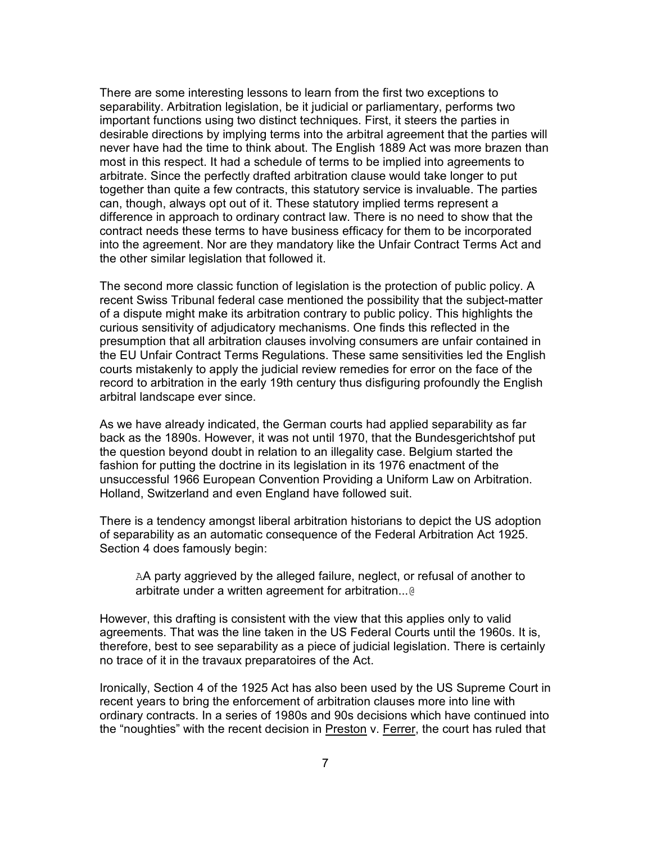There are some interesting lessons to learn from the first two exceptions to separability. Arbitration legislation, be it judicial or parliamentary, performs two important functions using two distinct techniques. First, it steers the parties in desirable directions by implying terms into the arbitral agreement that the parties will never have had the time to think about. The English 1889 Act was more brazen than most in this respect. It had a schedule of terms to be implied into agreements to arbitrate. Since the perfectly drafted arbitration clause would take longer to put together than quite a few contracts, this statutory service is invaluable. The parties can, though, always opt out of it. These statutory implied terms represent a difference in approach to ordinary contract law. There is no need to show that the contract needs these terms to have business efficacy for them to be incorporated into the agreement. Nor are they mandatory like the Unfair Contract Terms Act and the other similar legislation that followed it.

The second more classic function of legislation is the protection of public policy. A recent Swiss Tribunal federal case mentioned the possibility that the subject-matter of a dispute might make its arbitration contrary to public policy. This highlights the curious sensitivity of adjudicatory mechanisms. One finds this reflected in the presumption that all arbitration clauses involving consumers are unfair contained in the EU Unfair Contract Terms Regulations. These same sensitivities led the English courts mistakenly to apply the judicial review remedies for error on the face of the record to arbitration in the early 19th century thus disfiguring profoundly the English arbitral landscape ever since.

As we have already indicated, the German courts had applied separability as far back as the 1890s. However, it was not until 1970, that the Bundesgerichtshof put the question beyond doubt in relation to an illegality case. Belgium started the fashion for putting the doctrine in its legislation in its 1976 enactment of the unsuccessful 1966 European Convention Providing a Uniform Law on Arbitration. Holland, Switzerland and even England have followed suit.

There is a tendency amongst liberal arbitration historians to depict the US adoption of separability as an automatic consequence of the Federal Arbitration Act 1925. Section 4 does famously begin:

 AA party aggrieved by the alleged failure, neglect, or refusal of another to arbitrate under a written agreement for arbitration...@

However, this drafting is consistent with the view that this applies only to valid agreements. That was the line taken in the US Federal Courts until the 1960s. It is, therefore, best to see separability as a piece of judicial legislation. There is certainly no trace of it in the travaux preparatoires of the Act.

Ironically, Section 4 of the 1925 Act has also been used by the US Supreme Court in recent years to bring the enforcement of arbitration clauses more into line with ordinary contracts. In a series of 1980s and 90s decisions which have continued into the "noughties" with the recent decision in Preston v. Ferrer, the court has ruled that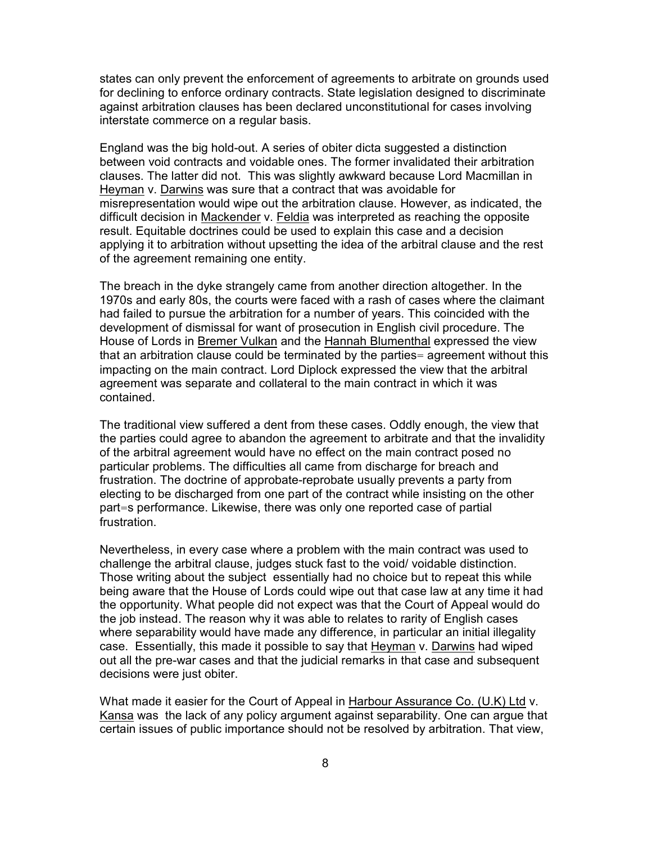states can only prevent the enforcement of agreements to arbitrate on grounds used for declining to enforce ordinary contracts. State legislation designed to discriminate against arbitration clauses has been declared unconstitutional for cases involving interstate commerce on a regular basis.

England was the big hold-out. A series of obiter dicta suggested a distinction between void contracts and voidable ones. The former invalidated their arbitration clauses. The latter did not. This was slightly awkward because Lord Macmillan in Heyman v. Darwins was sure that a contract that was avoidable for misrepresentation would wipe out the arbitration clause. However, as indicated, the difficult decision in Mackender v. Feldia was interpreted as reaching the opposite result. Equitable doctrines could be used to explain this case and a decision applying it to arbitration without upsetting the idea of the arbitral clause and the rest of the agreement remaining one entity.

The breach in the dyke strangely came from another direction altogether. In the 1970s and early 80s, the courts were faced with a rash of cases where the claimant had failed to pursue the arbitration for a number of years. This coincided with the development of dismissal for want of prosecution in English civil procedure. The House of Lords in Bremer Vulkan and the Hannah Blumenthal expressed the view that an arbitration clause could be terminated by the parties= agreement without this impacting on the main contract. Lord Diplock expressed the view that the arbitral agreement was separate and collateral to the main contract in which it was contained.

The traditional view suffered a dent from these cases. Oddly enough, the view that the parties could agree to abandon the agreement to arbitrate and that the invalidity of the arbitral agreement would have no effect on the main contract posed no particular problems. The difficulties all came from discharge for breach and frustration. The doctrine of approbate-reprobate usually prevents a party from electing to be discharged from one part of the contract while insisting on the other part=s performance. Likewise, there was only one reported case of partial frustration.

Nevertheless, in every case where a problem with the main contract was used to challenge the arbitral clause, judges stuck fast to the void/ voidable distinction. Those writing about the subject essentially had no choice but to repeat this while being aware that the House of Lords could wipe out that case law at any time it had the opportunity. What people did not expect was that the Court of Appeal would do the job instead. The reason why it was able to relates to rarity of English cases where separability would have made any difference, in particular an initial illegality case. Essentially, this made it possible to say that Heyman v. Darwins had wiped out all the pre-war cases and that the judicial remarks in that case and subsequent decisions were just obiter.

What made it easier for the Court of Appeal in Harbour Assurance Co. (U.K) Ltd v. Kansa was the lack of any policy argument against separability. One can argue that certain issues of public importance should not be resolved by arbitration. That view,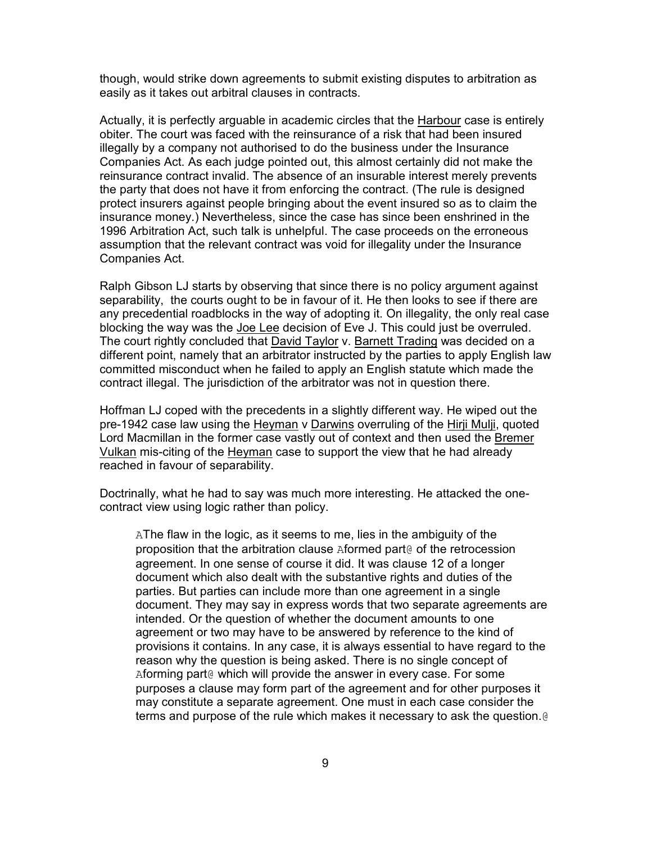though, would strike down agreements to submit existing disputes to arbitration as easily as it takes out arbitral clauses in contracts.

Actually, it is perfectly arguable in academic circles that the Harbour case is entirely obiter. The court was faced with the reinsurance of a risk that had been insured illegally by a company not authorised to do the business under the Insurance Companies Act. As each judge pointed out, this almost certainly did not make the reinsurance contract invalid. The absence of an insurable interest merely prevents the party that does not have it from enforcing the contract. (The rule is designed protect insurers against people bringing about the event insured so as to claim the insurance money.) Nevertheless, since the case has since been enshrined in the 1996 Arbitration Act, such talk is unhelpful. The case proceeds on the erroneous assumption that the relevant contract was void for illegality under the Insurance Companies Act.

Ralph Gibson LJ starts by observing that since there is no policy argument against separability, the courts ought to be in favour of it. He then looks to see if there are any precedential roadblocks in the way of adopting it. On illegality, the only real case blocking the way was the Joe Lee decision of Eve J. This could just be overruled. The court rightly concluded that David Taylor v. Barnett Trading was decided on a different point, namely that an arbitrator instructed by the parties to apply English law committed misconduct when he failed to apply an English statute which made the contract illegal. The jurisdiction of the arbitrator was not in question there.

Hoffman LJ coped with the precedents in a slightly different way. He wiped out the pre-1942 case law using the Heyman v Darwins overruling of the Hirji Mulji, quoted Lord Macmillan in the former case vastly out of context and then used the Bremer Vulkan mis-citing of the Heyman case to support the view that he had already reached in favour of separability.

Doctrinally, what he had to say was much more interesting. He attacked the onecontract view using logic rather than policy.

AThe flaw in the logic, as it seems to me, lies in the ambiguity of the proposition that the arbitration clause Aformed part@ of the retrocession agreement. In one sense of course it did. It was clause 12 of a longer document which also dealt with the substantive rights and duties of the parties. But parties can include more than one agreement in a single document. They may say in express words that two separate agreements are intended. Or the question of whether the document amounts to one agreement or two may have to be answered by reference to the kind of provisions it contains. In any case, it is always essential to have regard to the reason why the question is being asked. There is no single concept of Aforming part@ which will provide the answer in every case. For some purposes a clause may form part of the agreement and for other purposes it may constitute a separate agreement. One must in each case consider the terms and purpose of the rule which makes it necessary to ask the question.@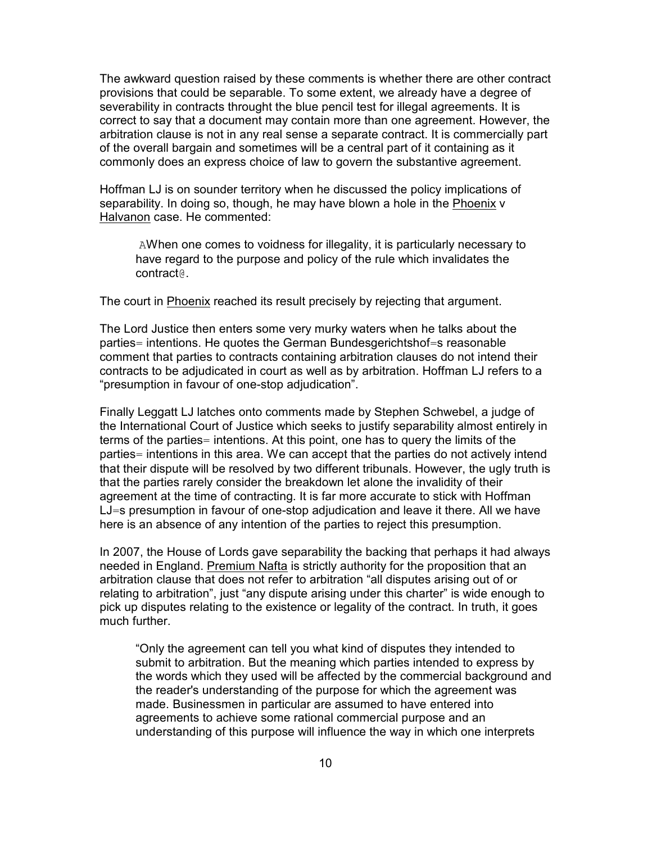The awkward question raised by these comments is whether there are other contract provisions that could be separable. To some extent, we already have a degree of severability in contracts throught the blue pencil test for illegal agreements. It is correct to say that a document may contain more than one agreement. However, the arbitration clause is not in any real sense a separate contract. It is commercially part of the overall bargain and sometimes will be a central part of it containing as it commonly does an express choice of law to govern the substantive agreement.

Hoffman LJ is on sounder territory when he discussed the policy implications of separability. In doing so, though, he may have blown a hole in the Phoenix v Halvanon case. He commented:

AWhen one comes to voidness for illegality, it is particularly necessary to have regard to the purpose and policy of the rule which invalidates the contract@.

The court in Phoenix reached its result precisely by rejecting that argument.

The Lord Justice then enters some very murky waters when he talks about the parties= intentions. He quotes the German Bundesgerichtshof=s reasonable comment that parties to contracts containing arbitration clauses do not intend their contracts to be adjudicated in court as well as by arbitration. Hoffman LJ refers to a "presumption in favour of one-stop adjudication".

Finally Leggatt LJ latches onto comments made by Stephen Schwebel, a judge of the International Court of Justice which seeks to justify separability almost entirely in terms of the parties= intentions. At this point, one has to query the limits of the parties= intentions in this area. We can accept that the parties do not actively intend that their dispute will be resolved by two different tribunals. However, the ugly truth is that the parties rarely consider the breakdown let alone the invalidity of their agreement at the time of contracting. It is far more accurate to stick with Hoffman LJ=s presumption in favour of one-stop adjudication and leave it there. All we have here is an absence of any intention of the parties to reject this presumption.

In 2007, the House of Lords gave separability the backing that perhaps it had always needed in England. Premium Nafta is strictly authority for the proposition that an arbitration clause that does not refer to arbitration "all disputes arising out of or relating to arbitration", just "any dispute arising under this charter" is wide enough to pick up disputes relating to the existence or legality of the contract. In truth, it goes much further.

"Only the agreement can tell you what kind of disputes they intended to submit to arbitration. But the meaning which parties intended to express by the words which they used will be affected by the commercial background and the reader's understanding of the purpose for which the agreement was made. Businessmen in particular are assumed to have entered into agreements to achieve some rational commercial purpose and an understanding of this purpose will influence the way in which one interprets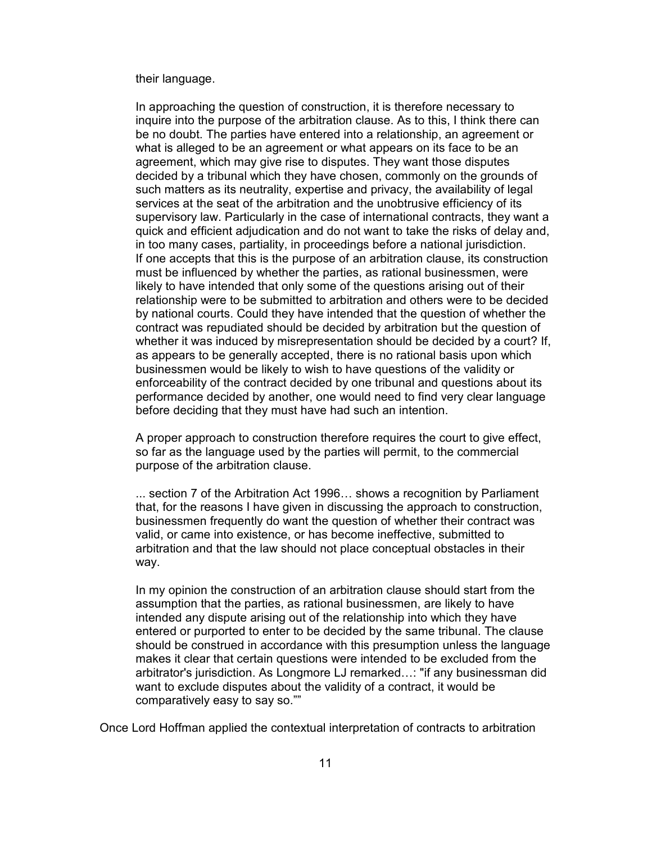their language.

In approaching the question of construction, it is therefore necessary to inquire into the purpose of the arbitration clause. As to this, I think there can be no doubt. The parties have entered into a relationship, an agreement or what is alleged to be an agreement or what appears on its face to be an agreement, which may give rise to disputes. They want those disputes decided by a tribunal which they have chosen, commonly on the grounds of such matters as its neutrality, expertise and privacy, the availability of legal services at the seat of the arbitration and the unobtrusive efficiency of its supervisory law. Particularly in the case of international contracts, they want a quick and efficient adjudication and do not want to take the risks of delay and, in too many cases, partiality, in proceedings before a national jurisdiction. If one accepts that this is the purpose of an arbitration clause, its construction must be influenced by whether the parties, as rational businessmen, were likely to have intended that only some of the questions arising out of their relationship were to be submitted to arbitration and others were to be decided by national courts. Could they have intended that the question of whether the contract was repudiated should be decided by arbitration but the question of whether it was induced by misrepresentation should be decided by a court? If, as appears to be generally accepted, there is no rational basis upon which businessmen would be likely to wish to have questions of the validity or enforceability of the contract decided by one tribunal and questions about its performance decided by another, one would need to find very clear language before deciding that they must have had such an intention.

A proper approach to construction therefore requires the court to give effect, so far as the language used by the parties will permit, to the commercial purpose of the arbitration clause.

... section 7 of the Arbitration Act 1996… shows a recognition by Parliament that, for the reasons I have given in discussing the approach to construction, businessmen frequently do want the question of whether their contract was valid, or came into existence, or has become ineffective, submitted to arbitration and that the law should not place conceptual obstacles in their way.

In my opinion the construction of an arbitration clause should start from the assumption that the parties, as rational businessmen, are likely to have intended any dispute arising out of the relationship into which they have entered or purported to enter to be decided by the same tribunal. The clause should be construed in accordance with this presumption unless the language makes it clear that certain questions were intended to be excluded from the arbitrator's jurisdiction. As Longmore LJ remarked…: "if any businessman did want to exclude disputes about the validity of a contract, it would be comparatively easy to say so.""

Once Lord Hoffman applied the contextual interpretation of contracts to arbitration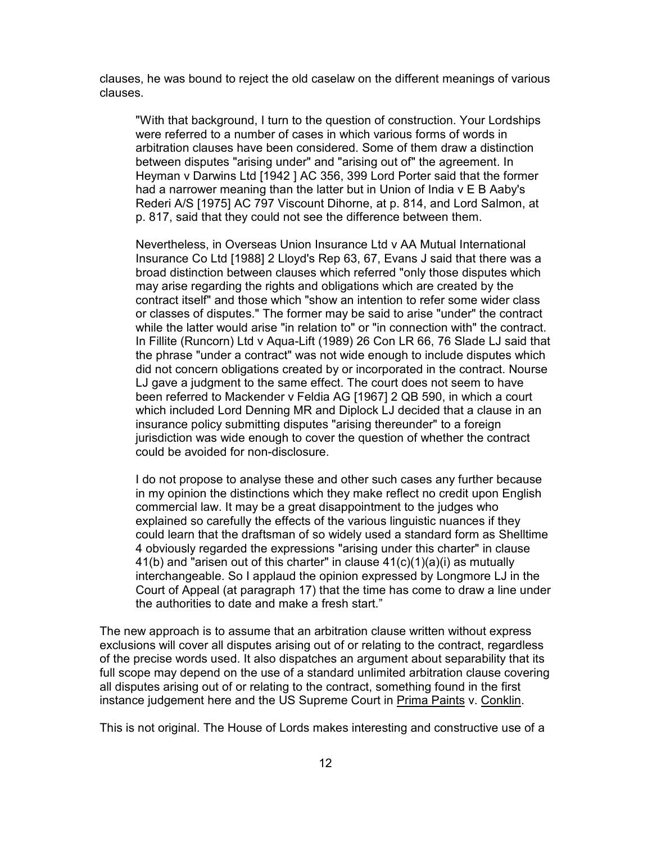clauses, he was bound to reject the old caselaw on the different meanings of various clauses.

"With that background, I turn to the question of construction. Your Lordships were referred to a number of cases in which various forms of words in arbitration clauses have been considered. Some of them draw a distinction between disputes "arising under" and "arising out of" the agreement. In Heyman v Darwins Ltd [1942 ] AC 356, 399 Lord Porter said that the former had a narrower meaning than the latter but in Union of India v E B Aaby's Rederi A/S [1975] AC 797 Viscount Dihorne, at p. 814, and Lord Salmon, at p. 817, said that they could not see the difference between them.

Nevertheless, in Overseas Union Insurance Ltd v AA Mutual International Insurance Co Ltd [1988] 2 Lloyd's Rep 63, 67, Evans J said that there was a broad distinction between clauses which referred "only those disputes which may arise regarding the rights and obligations which are created by the contract itself" and those which "show an intention to refer some wider class or classes of disputes." The former may be said to arise "under" the contract while the latter would arise "in relation to" or "in connection with" the contract. In Fillite (Runcorn) Ltd v Aqua-Lift (1989) 26 Con LR 66, 76 Slade LJ said that the phrase "under a contract" was not wide enough to include disputes which did not concern obligations created by or incorporated in the contract. Nourse LJ gave a judgment to the same effect. The court does not seem to have been referred to Mackender v Feldia AG [1967] 2 QB 590, in which a court which included Lord Denning MR and Diplock LJ decided that a clause in an insurance policy submitting disputes "arising thereunder" to a foreign jurisdiction was wide enough to cover the question of whether the contract could be avoided for non-disclosure.

I do not propose to analyse these and other such cases any further because in my opinion the distinctions which they make reflect no credit upon English commercial law. It may be a great disappointment to the judges who explained so carefully the effects of the various linguistic nuances if they could learn that the draftsman of so widely used a standard form as Shelltime 4 obviously regarded the expressions "arising under this charter" in clause 41(b) and "arisen out of this charter" in clause  $41(c)(1)(a)(i)$  as mutually interchangeable. So I applaud the opinion expressed by Longmore LJ in the Court of Appeal (at paragraph 17) that the time has come to draw a line under the authorities to date and make a fresh start."

The new approach is to assume that an arbitration clause written without express exclusions will cover all disputes arising out of or relating to the contract, regardless of the precise words used. It also dispatches an argument about separability that its full scope may depend on the use of a standard unlimited arbitration clause covering all disputes arising out of or relating to the contract, something found in the first instance judgement here and the US Supreme Court in Prima Paints v. Conklin.

This is not original. The House of Lords makes interesting and constructive use of a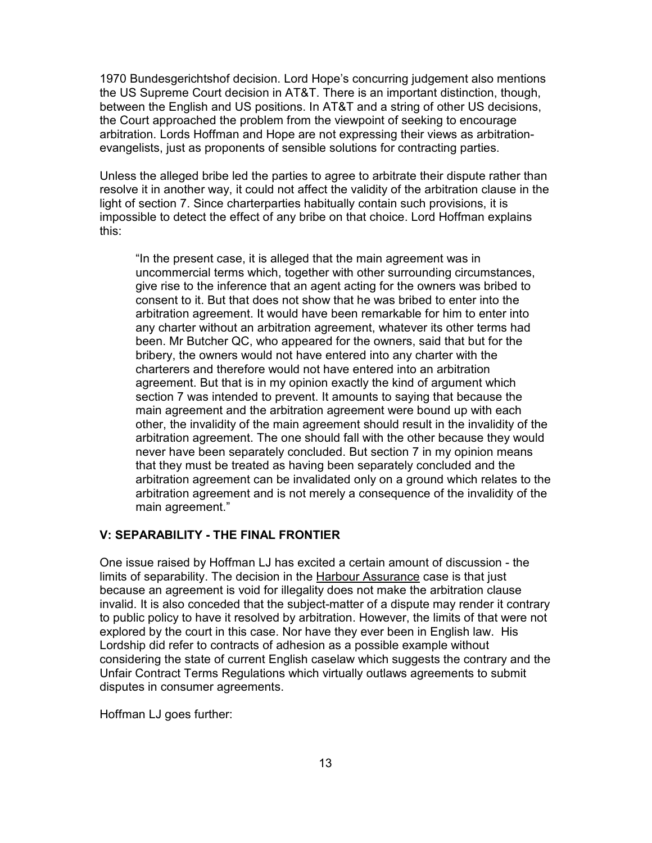1970 Bundesgerichtshof decision. Lord Hope's concurring judgement also mentions the US Supreme Court decision in AT&T. There is an important distinction, though, between the English and US positions. In AT&T and a string of other US decisions, the Court approached the problem from the viewpoint of seeking to encourage arbitration. Lords Hoffman and Hope are not expressing their views as arbitrationevangelists, just as proponents of sensible solutions for contracting parties.

Unless the alleged bribe led the parties to agree to arbitrate their dispute rather than resolve it in another way, it could not affect the validity of the arbitration clause in the light of section 7. Since charterparties habitually contain such provisions, it is impossible to detect the effect of any bribe on that choice. Lord Hoffman explains this:

"In the present case, it is alleged that the main agreement was in uncommercial terms which, together with other surrounding circumstances, give rise to the inference that an agent acting for the owners was bribed to consent to it. But that does not show that he was bribed to enter into the arbitration agreement. It would have been remarkable for him to enter into any charter without an arbitration agreement, whatever its other terms had been. Mr Butcher QC, who appeared for the owners, said that but for the bribery, the owners would not have entered into any charter with the charterers and therefore would not have entered into an arbitration agreement. But that is in my opinion exactly the kind of argument which section 7 was intended to prevent. It amounts to saying that because the main agreement and the arbitration agreement were bound up with each other, the invalidity of the main agreement should result in the invalidity of the arbitration agreement. The one should fall with the other because they would never have been separately concluded. But section 7 in my opinion means that they must be treated as having been separately concluded and the arbitration agreement can be invalidated only on a ground which relates to the arbitration agreement and is not merely a consequence of the invalidity of the main agreement."

# **V: SEPARABILITY - THE FINAL FRONTIER**

One issue raised by Hoffman LJ has excited a certain amount of discussion - the limits of separability. The decision in the Harbour Assurance case is that just because an agreement is void for illegality does not make the arbitration clause invalid. It is also conceded that the subject-matter of a dispute may render it contrary to public policy to have it resolved by arbitration. However, the limits of that were not explored by the court in this case. Nor have they ever been in English law. His Lordship did refer to contracts of adhesion as a possible example without considering the state of current English caselaw which suggests the contrary and the Unfair Contract Terms Regulations which virtually outlaws agreements to submit disputes in consumer agreements.

Hoffman LJ goes further: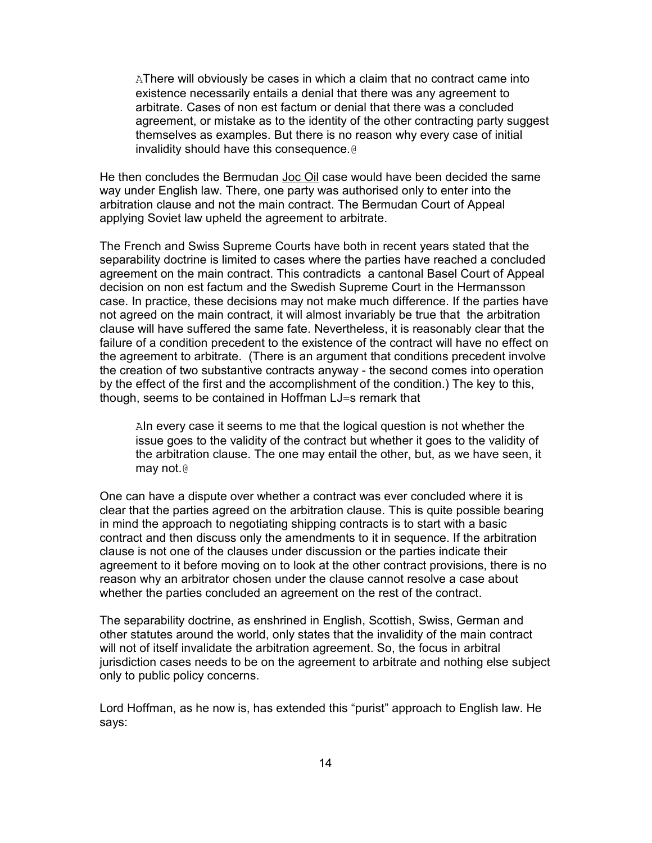AThere will obviously be cases in which a claim that no contract came into existence necessarily entails a denial that there was any agreement to arbitrate. Cases of non est factum or denial that there was a concluded agreement, or mistake as to the identity of the other contracting party suggest themselves as examples. But there is no reason why every case of initial invalidity should have this consequence.@

He then concludes the Bermudan Joc Oil case would have been decided the same way under English law. There, one party was authorised only to enter into the arbitration clause and not the main contract. The Bermudan Court of Appeal applying Soviet law upheld the agreement to arbitrate.

The French and Swiss Supreme Courts have both in recent years stated that the separability doctrine is limited to cases where the parties have reached a concluded agreement on the main contract. This contradicts a cantonal Basel Court of Appeal decision on non est factum and the Swedish Supreme Court in the Hermansson case. In practice, these decisions may not make much difference. If the parties have not agreed on the main contract, it will almost invariably be true that the arbitration clause will have suffered the same fate. Nevertheless, it is reasonably clear that the failure of a condition precedent to the existence of the contract will have no effect on the agreement to arbitrate. (There is an argument that conditions precedent involve the creation of two substantive contracts anyway - the second comes into operation by the effect of the first and the accomplishment of the condition.) The key to this, though, seems to be contained in Hoffman LJ=s remark that

AIn every case it seems to me that the logical question is not whether the issue goes to the validity of the contract but whether it goes to the validity of the arbitration clause. The one may entail the other, but, as we have seen, it may not.@

One can have a dispute over whether a contract was ever concluded where it is clear that the parties agreed on the arbitration clause. This is quite possible bearing in mind the approach to negotiating shipping contracts is to start with a basic contract and then discuss only the amendments to it in sequence. If the arbitration clause is not one of the clauses under discussion or the parties indicate their agreement to it before moving on to look at the other contract provisions, there is no reason why an arbitrator chosen under the clause cannot resolve a case about whether the parties concluded an agreement on the rest of the contract.

The separability doctrine, as enshrined in English, Scottish, Swiss, German and other statutes around the world, only states that the invalidity of the main contract will not of itself invalidate the arbitration agreement. So, the focus in arbitral jurisdiction cases needs to be on the agreement to arbitrate and nothing else subject only to public policy concerns.

Lord Hoffman, as he now is, has extended this "purist" approach to English law. He says: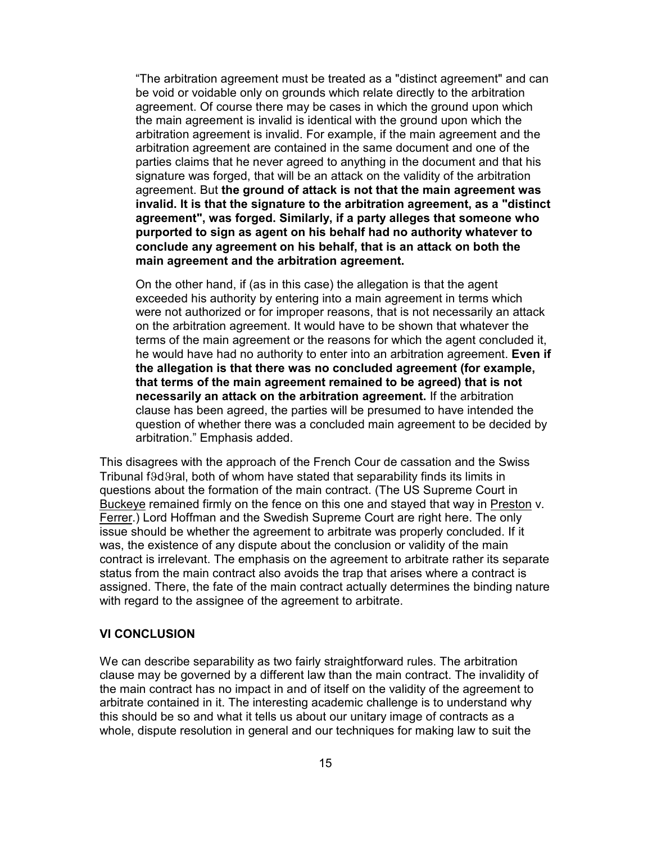"The arbitration agreement must be treated as a "distinct agreement" and can be void or voidable only on grounds which relate directly to the arbitration agreement. Of course there may be cases in which the ground upon which the main agreement is invalid is identical with the ground upon which the arbitration agreement is invalid. For example, if the main agreement and the arbitration agreement are contained in the same document and one of the parties claims that he never agreed to anything in the document and that his signature was forged, that will be an attack on the validity of the arbitration agreement. But **the ground of attack is not that the main agreement was invalid. It is that the signature to the arbitration agreement, as a "distinct agreement", was forged. Similarly, if a party alleges that someone who purported to sign as agent on his behalf had no authority whatever to conclude any agreement on his behalf, that is an attack on both the main agreement and the arbitration agreement.** 

On the other hand, if (as in this case) the allegation is that the agent exceeded his authority by entering into a main agreement in terms which were not authorized or for improper reasons, that is not necessarily an attack on the arbitration agreement. It would have to be shown that whatever the terms of the main agreement or the reasons for which the agent concluded it, he would have had no authority to enter into an arbitration agreement. **Even if the allegation is that there was no concluded agreement (for example, that terms of the main agreement remained to be agreed) that is not necessarily an attack on the arbitration agreement.** If the arbitration clause has been agreed, the parties will be presumed to have intended the question of whether there was a concluded main agreement to be decided by arbitration." Emphasis added.

This disagrees with the approach of the French Cour de cassation and the Swiss Tribunal f9d9ral, both of whom have stated that separability finds its limits in questions about the formation of the main contract. (The US Supreme Court in Buckeye remained firmly on the fence on this one and stayed that way in Preston v. Ferrer.) Lord Hoffman and the Swedish Supreme Court are right here. The only issue should be whether the agreement to arbitrate was properly concluded. If it was, the existence of any dispute about the conclusion or validity of the main contract is irrelevant. The emphasis on the agreement to arbitrate rather its separate status from the main contract also avoids the trap that arises where a contract is assigned. There, the fate of the main contract actually determines the binding nature with regard to the assignee of the agreement to arbitrate.

### **VI CONCLUSION**

We can describe separability as two fairly straightforward rules. The arbitration clause may be governed by a different law than the main contract. The invalidity of the main contract has no impact in and of itself on the validity of the agreement to arbitrate contained in it. The interesting academic challenge is to understand why this should be so and what it tells us about our unitary image of contracts as a whole, dispute resolution in general and our techniques for making law to suit the